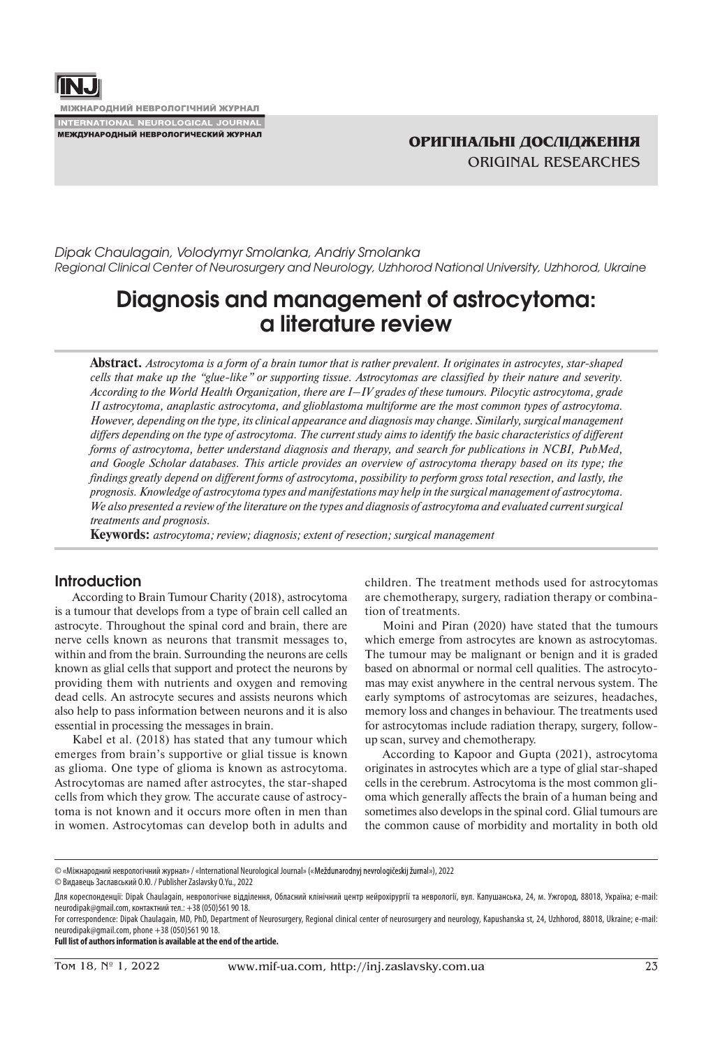

**МІЖНАРОДНИЙ НЕВРОЛОГІЧНИЙ ЖУРНАЛ INTERNATIONAL NEUROLOGICAL JOURNAL** 

**МЕЖДУНАРОДНЫЙ НЕВРОЛОГИЧЕСКИЙ ЖУРНАЛ** 

*Dipak Chaulagain, Volodymyr Smolanka, Andriy Smolanka Regional Clinical Center of Neurosurgery and Neurology, Uzhhorod National University, Uzhhorod, Ukraine*

# **Diagnosis and management of astrocytoma: a literature review**

**Abstract.** *Astrocytoma is a form of a brain tumor that is rather prevalent. It originates in astrocytes, star-shaped cells that make up the "glue-like" or supporting tissue. Astrocytomas are classified by their nature and severity. According to the World Health Organization, there are I–IV grades of these tumours. Pilocytic astrocytoma, grade II astrocytoma, anaplastic astrocytoma, and glioblastoma multiforme are the most common types of astrocytoma. However, depending on the type, its clinical appearance and diagnosis may change. Similarly, surgical management differs depending on the type of astrocytoma. The current study aims to identify the basic characteristics of different forms of astrocytoma, better understand diagnosis and therapy, and search for publications in NCBI, PubMed, and Google Scholar databases. This article provides an overview of astrocytoma therapy based on its type; the findings greatly depend on different forms of astrocytoma, possibility to perform gross total resection, and lastly, the prognosis. Knowledge of astrocytoma types and manifestations may help in the surgical management of astrocytoma. We also presented a review of the literature on the types and diagnosis of astrocytoma and evaluated current surgical treatments and prognosis.*

**Keywords:** *astrocytoma; review; diagnosis; extent of resection; surgical management*

# **Introduction**

According to Brain Tumour Charity (2018), astrocytoma is a tumour that develops from a type of brain cell called an astrocyte. Throughout the spinal cord and brain, there are nerve cells known as neurons that transmit messages to, within and from the brain. Surrounding the neurons are cells known as glial cells that support and protect the neurons by providing them with nutrients and oxygen and removing dead cells. An astrocyte secures and assists neurons which also help to pass information between neurons and it is also essential in processing the messages in brain.

Kabel et al. (2018) has stated that any tumour which emerges from brain's supportive or glial tissue is known as glioma. One type of glioma is known as astrocytoma. Astrocytomas are named after astrocytes, the star-shaped cells from which they grow. The accurate cause of astrocytoma is not known and it occurs more often in men than in women. Astrocytomas can develop both in adults and children. The treatment methods used for astrocytomas are chemotherapy, surgery, radiation therapy or combination of treatments.

Moini and Piran (2020) have stated that the tumours which emerge from astrocytes are known as astrocytomas. The tumour may be malignant or benign and it is graded based on abnormal or normal cell qualities. The astrocytomas may exist anywhere in the central nervous system. The early symptoms of astrocytomas are seizures, headaches, memory loss and changes in behaviour. The treatments used for astrocytomas include radiation therapy, surgery, followup scan, survey and chemotherapy.

According to Kapoor and Gupta (2021), astrocytoma originates in astrocytes which are a type of glial star-shaped cells in the cerebrum. Astrocytoma is the most common glioma which generally affects the brain of a human being and sometimes also develops in the spinal cord. Glial tumours are the common cause of morbidity and mortality in both old

© «Міжнародний неврологічний журнал» / «International Neurological Journal» (« »), 2022

© Видавець Заславський О.Ю. / Publisher Zaslavsky O.Yu., 2022

**Full list of authors information is available at the end of the article.**

Для кореспонденції: Dipak Chaulagain, неврологічне відділення, Обласний клінічний центр нейрохірургії та неврології, вул. Капушанська, 24, м. Ужгород, 88018, Україна; e-mail: neurodipak@gmail.com, контактний тел.: +38 (050)561 90 18.

For correspondence: Dipak Chaulagain, MD, PhD, Department of Neurosurgery, Regional clinical center of neurosurgery and neurology, Kapushanska st, 24, Uzhhorod, 88018, Ukraine; e-mail: neurodipak@gmail.com, phone +38 (050)561 90 18.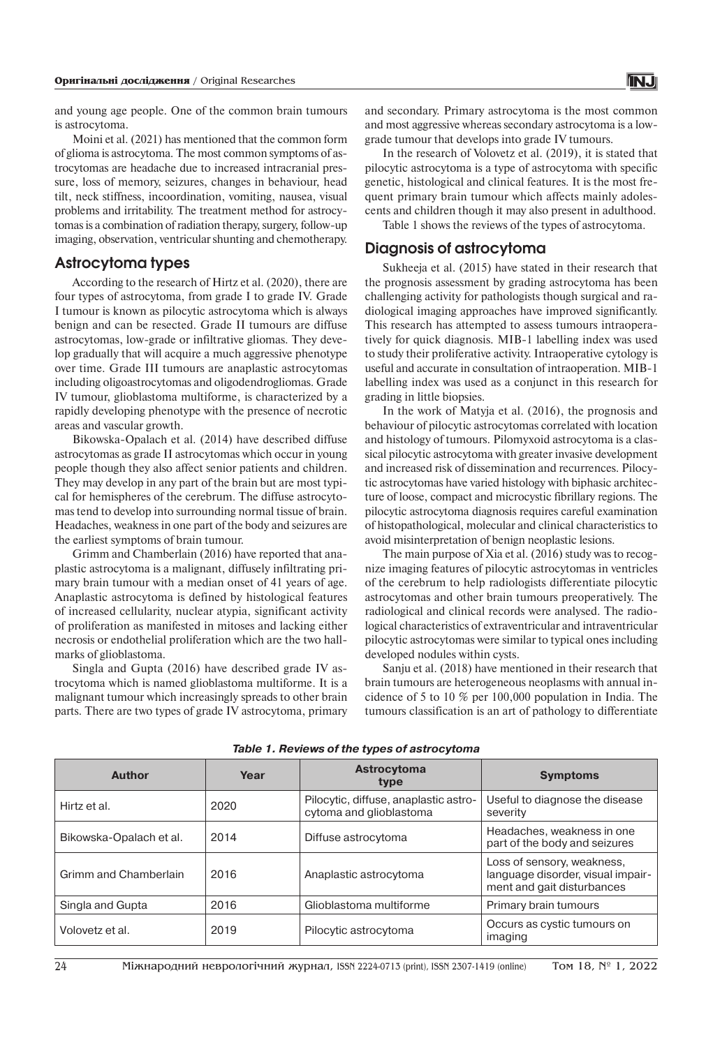and young age people. One of the common brain tumours is astrocytoma.

Moini et al. (2021) has mentioned that the common form of glioma is astrocytoma. The most common symptoms of astrocytomas are headache due to increased intracranial pressure, loss of memory, seizures, changes in behaviour, head tilt, neck stiffness, incoordination, vomiting, nausea, visual problems and irritability. The treatment method for astrocytomas is a combination of radiation therapy, surgery, follow-up imaging, observation, ventricular shunting and chemotherapy.

# **Astrocytoma types**

According to the research of Hirtz et al. (2020), there are four types of astrocytoma, from grade I to grade IV. Grade I tumour is known as pilocytic astrocytoma which is always benign and can be resected. Grade II tumours are diffuse astrocytomas, low-grade or infiltrative gliomas. They develop gradually that will acquire a much aggressive phenotype over time. Grade III tumours are anaplastic astrocytomas including oligoastrocytomas and oligodendrogliomas. Grade IV tumour, glioblastoma multiforme, is characterized by a rapidly developing phenotype with the presence of necrotic areas and vascular growth.

Bikowska-Opalach et al. (2014) have described diffuse astrocytomas as grade II astrocytomas which occur in young people though they also affect senior patients and children. They may develop in any part of the brain but are most typical for hemispheres of the cerebrum. The diffuse astrocytomas tend to develop into surrounding normal tissue of brain. Headaches, weakness in one part of the body and seizures are the earliest symptoms of brain tumour.

Grimm and Chamberlain (2016) have reported that anaplastic astrocytoma is a malignant, diffusely infiltrating primary brain tumour with a median onset of 41 years of age. Anaplastic astrocytoma is defined by histological features of increased cellularity, nuclear atypia, significant activity of proliferation as manifested in mitoses and lacking either necrosis or endothelial proliferation which are the two hallmarks of glioblastoma.

Singla and Gupta (2016) have described grade IV astrocytoma which is named glioblastoma multiforme. It is a malignant tumour which increasingly spreads to other brain parts. There are two types of grade IV astrocytoma, primary

and secondary. Primary astrocytoma is the most common and most aggressive whereas secondary astrocytoma is a lowgrade tumour that develops into grade IV tumours.

In the research of Volovetz et al. (2019), it is stated that pilocytic astrocytoma is a type of astrocytoma with specific genetic, histological and clinical features. It is the most frequent primary brain tumour which affects mainly adolescents and children though it may also present in adulthood.

Table 1 shows the reviews of the types of astrocytoma.

# **Diagnosis of аstrocytoma**

Sukheeja et al. (2015) have stated in their research that the prognosis assessment by grading astrocytoma has been challenging activity for pathologists though surgical and radiological imaging approaches have improved significantly. This research has attempted to assess tumours intraoperatively for quick diagnosis. MIB-1 labelling index was used to study their proliferative activity. Intraoperative cytology is useful and accurate in consultation of intraoperation. MIB-1 labelling index was used as a conjunct in this research for grading in little biopsies.

In the work of Matyja et al. (2016), the prognosis and behaviour of pilocytic astrocytomas correlated with location and histology of tumours. Pilomyxoid astrocytoma is a classical pilocytic astrocytoma with greater invasive development and increased risk of dissemination and recurrences. Pilocytic astrocytomas have varied histology with biphasic architecture of loose, compact and microcystic fibrillary regions. The pilocytic astrocytoma diagnosis requires careful examination of histopathological, molecular and clinical characteristics to avoid misinterpretation of benign neoplastic lesions.

The main purpose of Xia et al. (2016) study was to recognize imaging features of pilocytic astrocytomas in ventricles of the cerebrum to help radiologists differentiate pilocytic astrocytomas and other brain tumours preoperatively. The radiological and clinical records were analysed. The radiological characteristics of extraventricular and intraventricular pilocytic astrocytomas were similar to typical ones including developed nodules within cysts.

Sanju et al. (2018) have mentioned in their research that brain tumours are heterogeneous neoplasms with annual incidence of 5 to 10 % per 100,000 population in India. The tumours classification is an art of pathology to differentiate

| Author                  | Year | Astrocytoma<br>type                                              | <b>Symptoms</b>                                                                               |
|-------------------------|------|------------------------------------------------------------------|-----------------------------------------------------------------------------------------------|
| Hirtz et al.            | 2020 | Pilocytic, diffuse, anaplastic astro-<br>cytoma and glioblastoma | Useful to diagnose the disease<br>severity                                                    |
| Bikowska-Opalach et al. | 2014 | Diffuse astrocytoma                                              | Headaches, weakness in one<br>part of the body and seizures                                   |
| Grimm and Chamberlain   | 2016 | Anaplastic astrocytoma                                           | Loss of sensory, weakness,<br>language disorder, visual impair-<br>ment and gait disturbances |
| Singla and Gupta        | 2016 | Glioblastoma multiforme                                          | Primary brain tumours                                                                         |
| Volovetz et al.         | 2019 | Pilocytic astrocytoma                                            | Occurs as cystic tumours on<br>imaging                                                        |

*Table 1. Reviews of the types of astrocytoma*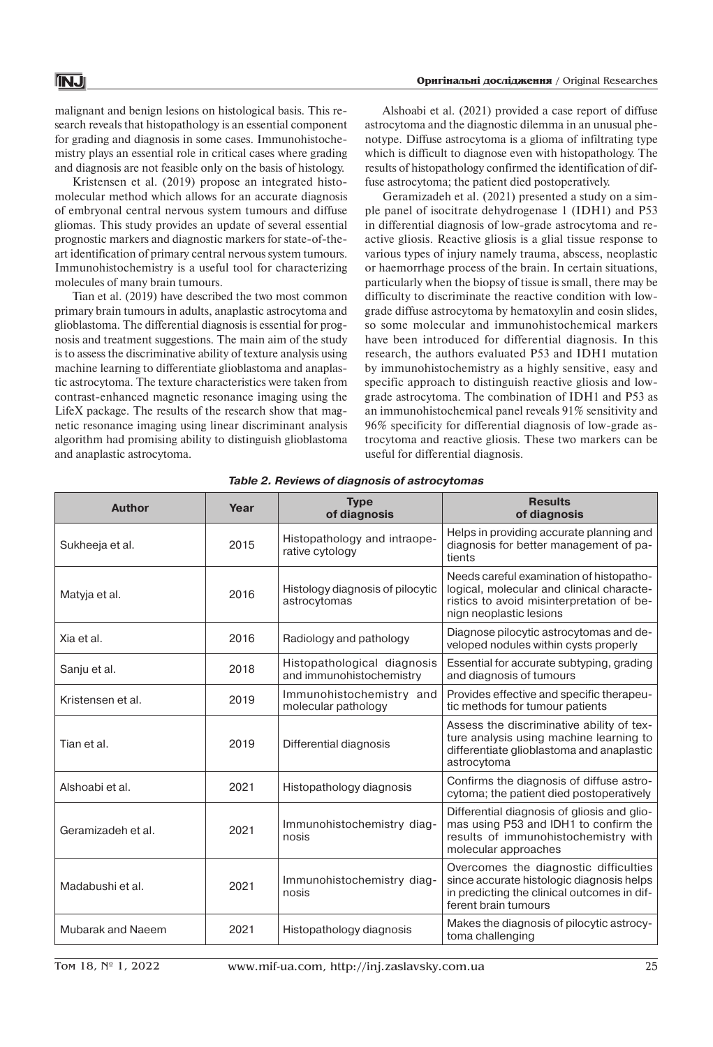malignant and benign lesions on histological basis. This research reveals that histopathology is an essential component for grading and diagnosis in some cases. Immunohistochemistry plays an essential role in critical cases where grading and diagnosis are not feasible only on the basis of histology.

Kristensen et al. (2019) propose an integrated histomolecular method which allows for an accurate diagnosis of embryonal central nervous system tumours and diffuse gliomas. This study provides an update of several essential prognostic markers and diagnostic markers for state-of-theart identification of primary central nervous system tumours. Immunohistochemistry is a useful tool for characterizing molecules of many brain tumours.

Tian et al. (2019) have described the two most common primary brain tumours in adults, anaplastic astrocytoma and glioblastoma. The differential diagnosis is essential for prognosis and treatment suggestions. The main aim of the study is to assess the discriminative ability of texture analysis using machine learning to differentiate glioblastoma and anaplastic astrocytoma. The texture characteristics were taken from contrast-enhanced magnetic resonance imaging using the LifeX package. The results of the research show that magnetic resonance imaging using linear discriminant analysis algorithm had promising ability to distinguish glioblastoma and anaplastic astrocytoma.

Alshoabi et al. (2021) provided a case report of diffuse astrocytoma and the diagnostic dilemma in an unusual phenotype. Diffuse astrocytoma is a glioma of infiltrating type which is difficult to diagnose even with histopathology. The results of histopathology confirmed the identification of diffuse astrocytoma; the patient died postoperatively.

Geramizadeh et al. (2021) presented a study on a simple panel of isocitrate dehydrogenase 1 (IDH1) and P53 in differential diagnosis of low-grade astrocytoma and reactive gliosis. Reactive gliosis is a glial tissue response to various types of injury namely trauma, abscess, neoplastic or haemorrhage process of the brain. In certain situations, particularly when the biopsy of tissue is small, there may be difficulty to discriminate the reactive condition with lowgrade diffuse astrocytoma by hematoxylin and eosin slides, so some molecular and immunohistochemical markers have been introduced for differential diagnosis. In this research, the authors evaluated P53 and IDH1 mutation by immunohistochemistry as a highly sensitive, easy and specific approach to distinguish reactive gliosis and lowgrade astrocytoma. The combination of IDH1 and P53 as an immunohistochemical panel reveals 91% sensitivity and 96% specificity for differential diagnosis of low-grade astrocytoma and reactive gliosis. These two markers can be useful for differential diagnosis.

| <b>Author</b>      | Year | <b>Type</b><br>of diagnosis                             | <b>Results</b><br>of diagnosis                                                                                                                                |
|--------------------|------|---------------------------------------------------------|---------------------------------------------------------------------------------------------------------------------------------------------------------------|
| Sukheeja et al.    | 2015 | Histopathology and intraope-<br>rative cytology         | Helps in providing accurate planning and<br>diagnosis for better management of pa-<br>tients                                                                  |
| Matyja et al.      | 2016 | Histology diagnosis of pilocytic<br>astrocytomas        | Needs careful examination of histopatho-<br>logical, molecular and clinical characte-<br>ristics to avoid misinterpretation of be-<br>nign neoplastic lesions |
| Xia et al.         | 2016 | Radiology and pathology                                 | Diagnose pilocytic astrocytomas and de-<br>veloped nodules within cysts properly                                                                              |
| Sanju et al.       | 2018 | Histopathological diagnosis<br>and immunohistochemistry | Essential for accurate subtyping, grading<br>and diagnosis of tumours                                                                                         |
| Kristensen et al.  | 2019 | Immunohistochemistry and<br>molecular pathology         | Provides effective and specific therapeu-<br>tic methods for tumour patients                                                                                  |
| Tian et al.        | 2019 | Differential diagnosis                                  | Assess the discriminative ability of tex-<br>ture analysis using machine learning to<br>differentiate glioblastoma and anaplastic<br>astrocytoma              |
| Alshoabi et al.    | 2021 | Histopathology diagnosis                                | Confirms the diagnosis of diffuse astro-<br>cytoma; the patient died postoperatively                                                                          |
| Geramizadeh et al. | 2021 | Immunohistochemistry diag-<br>nosis                     | Differential diagnosis of gliosis and glio-<br>mas using P53 and IDH1 to confirm the<br>results of immunohistochemistry with<br>molecular approaches          |
| Madabushi et al.   | 2021 | Immunohistochemistry diag-<br>nosis                     | Overcomes the diagnostic difficulties<br>since accurate histologic diagnosis helps<br>in predicting the clinical outcomes in dif-<br>ferent brain tumours     |
| Mubarak and Naeem  | 2021 | Histopathology diagnosis                                | Makes the diagnosis of pilocytic astrocy-<br>toma challenging                                                                                                 |

*Table 2. Reviews of diagnosis of astrocytomas*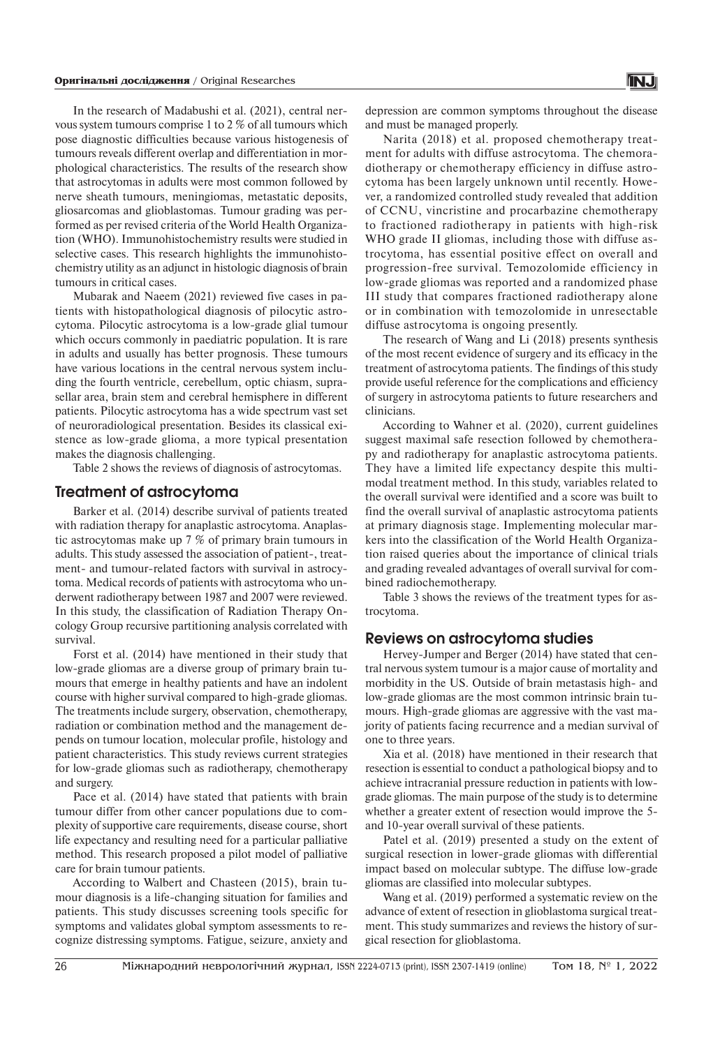In the research of Madabushi et al. (2021), central nervous system tumours comprise 1 to 2 % of all tumours which pose diagnostic difficulties because various histogenesis of tumours reveals different overlap and differentiation in morphological characteristics. The results of the research show that astrocytomas in adults were most common followed by nerve sheath tumours, meningiomas, metastatic deposits, gliosarcomas and glioblastomas. Tumour grading was performed as per revised criteria of the World Health Organization (WHO). Immunohistochemistry results were studied in selective cases. This research highlights the immunohistochemistry utility as an adjunct in histologic diagnosis of brain tumours in critical cases.

Mubarak and Naeem (2021) reviewed five cases in patients with histopathological diagnosis of pilocytic astrocytoma. Pilocytic astrocytoma is a low-grade glial tumour which occurs commonly in paediatric population. It is rare in adults and usually has better prognosis. These tumours have various locations in the central nervous system including the fourth ventricle, cerebellum, optic chiasm, suprasellar area, brain stem and cerebral hemisphere in different patients. Pilocytic astrocytoma has a wide spectrum vast set of neuroradiological presentation. Besides its classical existence as low-grade glioma, a more typical presentation makes the diagnosis challenging.

Table 2 shows the reviews of diagnosis of astrocytomas.

# **Treatment of astrocytoma**

Barker et al. (2014) describe survival of patients treated with radiation therapy for anaplastic astrocytoma. Anaplastic astrocytomas make up 7 % of primary brain tumours in adults. This study assessed the association of patient-, treatment- and tumour-related factors with survival in astrocytoma. Medical records of patients with astrocytoma who underwent radiotherapy between 1987 and 2007 were reviewed. In this study, the classification of Radiation Therapy Oncology Group recursive partitioning analysis correlated with survival.

Forst et al. (2014) have mentioned in their study that low-grade gliomas are a diverse group of primary brain tumours that emerge in healthy patients and have an indolent course with higher survival compared to high-grade gliomas. The treatments include surgery, observation, chemotherapy, radiation or combination method and the management depends on tumour location, molecular profile, histology and patient characteristics. This study reviews current strategies for low-grade gliomas such as radiotherapy, chemotherapy and surgery.

Pace et al. (2014) have stated that patients with brain tumour differ from other cancer populations due to complexity of supportive care requirements, disease course, short life expectancy and resulting need for a particular palliative method. This research proposed a pilot model of palliative care for brain tumour patients.

According to Walbert and Chasteen (2015), brain tumour diagnosis is a life-changing situation for families and patients. This study discusses screening tools specific for symptoms and validates global symptom assessments to recognize distressing symptoms. Fatigue, seizure, anxiety and

Narita (2018) et al. proposed chemotherapy treatment for adults with diffuse astrocytoma. The chemoradiotherapy or chemotherapy efficiency in diffuse astrocytoma has been largely unknown until recently. However, a randomized controlled study revealed that addition of CCNU, vincristine and procarbazine chemotherapy to fractioned radiotherapy in patients with high-risk WHO grade II gliomas, including those with diffuse astrocytoma, has essential positive effect on overall and progression-free survival. Temozolomide efficiency in low-grade gliomas was reported and a randomized phase III study that compares fractioned radiotherapy alone or in combination with temozolomide in unresectable diffuse astrocytoma is ongoing presently.

The research of Wang and Li (2018) presents synthesis of the most recent evidence of surgery and its efficacy in the treatment of astrocytoma patients. The findings of this study provide useful reference for the complications and efficiency of surgery in astrocytoma patients to future researchers and clinicians.

According to Wahner et al. (2020), current guidelines suggest maximal safe resection followed by chemotherapy and radiotherapy for anaplastic astrocytoma patients. They have a limited life expectancy despite this multimodal treatment method. In this study, variables related to the overall survival were identified and a score was built to find the overall survival of anaplastic astrocytoma patients at primary diagnosis stage. Implementing molecular markers into the classification of the World Health Organization raised queries about the importance of clinical trials and grading revealed advantages of overall survival for combined radiochemotherapy.

Table 3 shows the reviews of the treatment types for astrocytoma.

# **Reviews on astrocytoma studies**

Hervey-Jumper and Berger (2014) have stated that central nervous system tumour is a major cause of mortality and morbidity in the US. Outside of brain metastasis high- and low-grade gliomas are the most common intrinsic brain tumours. High-grade gliomas are aggressive with the vast majority of patients facing recurrence and a median survival of one to three years.

Xia et al. (2018) have mentioned in their research that resection is essential to conduct a pathological biopsy and to achieve intracranial pressure reduction in patients with lowgrade gliomas. The main purpose of the study is to determine whether a greater extent of resection would improve the 5 and 10-year overall survival of these patients.

Patel et al. (2019) presented a study on the extent of surgical resection in lower-grade gliomas with differential impact based on molecular subtype. The diffuse low-grade gliomas are classified into molecular subtypes.

Wang et al. (2019) performed a systematic review on the advance of extent of resection in glioblastoma surgical treatment. This study summarizes and reviews the history of surgical resection for glioblastoma.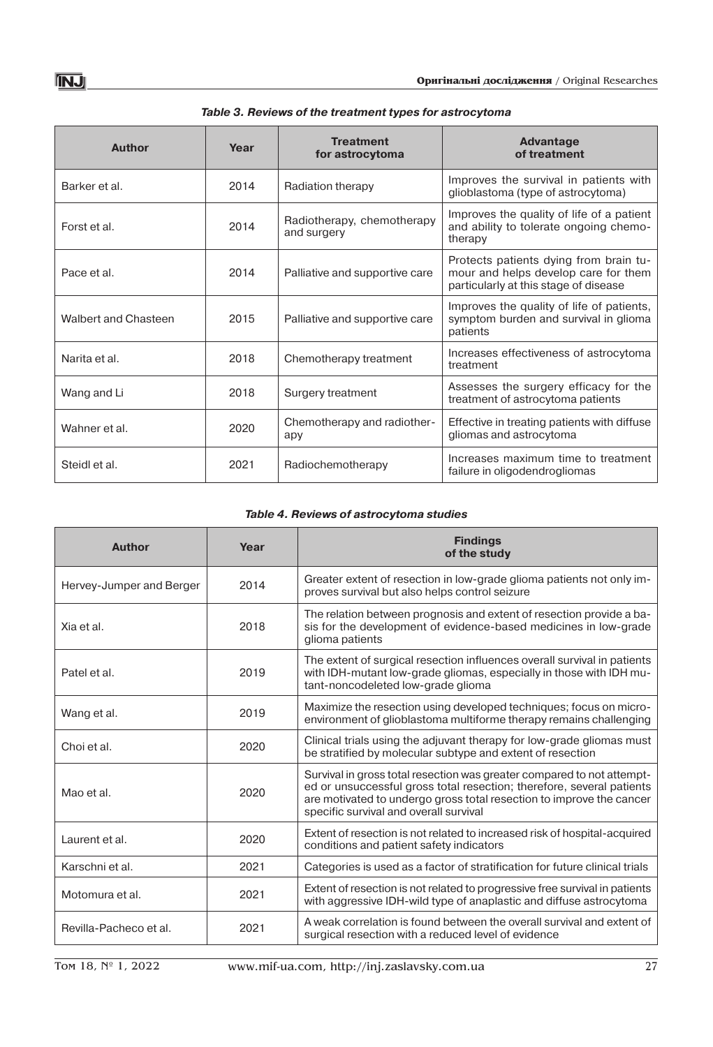| Author               | Year | <b>Treatment</b><br>for astrocytoma       | Advantage<br>of treatment                                                                                               |
|----------------------|------|-------------------------------------------|-------------------------------------------------------------------------------------------------------------------------|
| Barker et al.        | 2014 | Radiation therapy                         | Improves the survival in patients with<br>glioblastoma (type of astrocytoma)                                            |
| Forst et al.         | 2014 | Radiotherapy, chemotherapy<br>and surgery | Improves the quality of life of a patient<br>and ability to tolerate ongoing chemo-<br>therapy                          |
| Pace et al.          | 2014 | Palliative and supportive care            | Protects patients dying from brain tu-<br>mour and helps develop care for them<br>particularly at this stage of disease |
| Walbert and Chasteen | 2015 | Palliative and supportive care            | Improves the quality of life of patients,<br>symptom burden and survival in glioma<br>patients                          |
| Narita et al.        | 2018 | Chemotherapy treatment                    | Increases effectiveness of astrocytoma<br>treatment                                                                     |
| Wang and Li          | 2018 | Surgery treatment                         | Assesses the surgery efficacy for the<br>treatment of astrocytoma patients                                              |
| Wahner et al.        | 2020 | Chemotherapy and radiother-<br>apy        | Effective in treating patients with diffuse<br>gliomas and astrocytoma                                                  |
| Steidl et al.        | 2021 | Radiochemotherapy                         | Increases maximum time to treatment<br>failure in oligodendrogliomas                                                    |

| Table 3. Reviews of the treatment types for astrocytoma |  |  |
|---------------------------------------------------------|--|--|
|---------------------------------------------------------|--|--|

# *Table 4. Reviews of astrocytoma studies*

| <b>Author</b>            | Year | <b>Findings</b><br>of the study                                                                                                                                                                                                                                   |
|--------------------------|------|-------------------------------------------------------------------------------------------------------------------------------------------------------------------------------------------------------------------------------------------------------------------|
| Hervey-Jumper and Berger | 2014 | Greater extent of resection in low-grade glioma patients not only im-<br>proves survival but also helps control seizure                                                                                                                                           |
| Xia et al.               | 2018 | The relation between prognosis and extent of resection provide a ba-<br>sis for the development of evidence-based medicines in low-grade<br>glioma patients                                                                                                       |
| Patel et al.             | 2019 | The extent of surgical resection influences overall survival in patients<br>with IDH-mutant low-grade gliomas, especially in those with IDH mu-<br>tant-noncodeleted low-grade glioma                                                                             |
| Wang et al.              | 2019 | Maximize the resection using developed techniques; focus on micro-<br>environment of glioblastoma multiforme therapy remains challenging                                                                                                                          |
| Choi et al.              | 2020 | Clinical trials using the adjuvant therapy for low-grade gliomas must<br>be stratified by molecular subtype and extent of resection                                                                                                                               |
| Mao et al.               | 2020 | Survival in gross total resection was greater compared to not attempt-<br>ed or unsuccessful gross total resection; therefore, several patients<br>are motivated to undergo gross total resection to improve the cancer<br>specific survival and overall survival |
| Laurent et al.           | 2020 | Extent of resection is not related to increased risk of hospital-acquired<br>conditions and patient safety indicators                                                                                                                                             |
| Karschni et al.          | 2021 | Categories is used as a factor of stratification for future clinical trials                                                                                                                                                                                       |
| Motomura et al.          | 2021 | Extent of resection is not related to progressive free survival in patients<br>with aggressive IDH-wild type of anaplastic and diffuse astrocytoma                                                                                                                |
| Revilla-Pacheco et al.   | 2021 | A weak correlation is found between the overall survival and extent of<br>surgical resection with a reduced level of evidence                                                                                                                                     |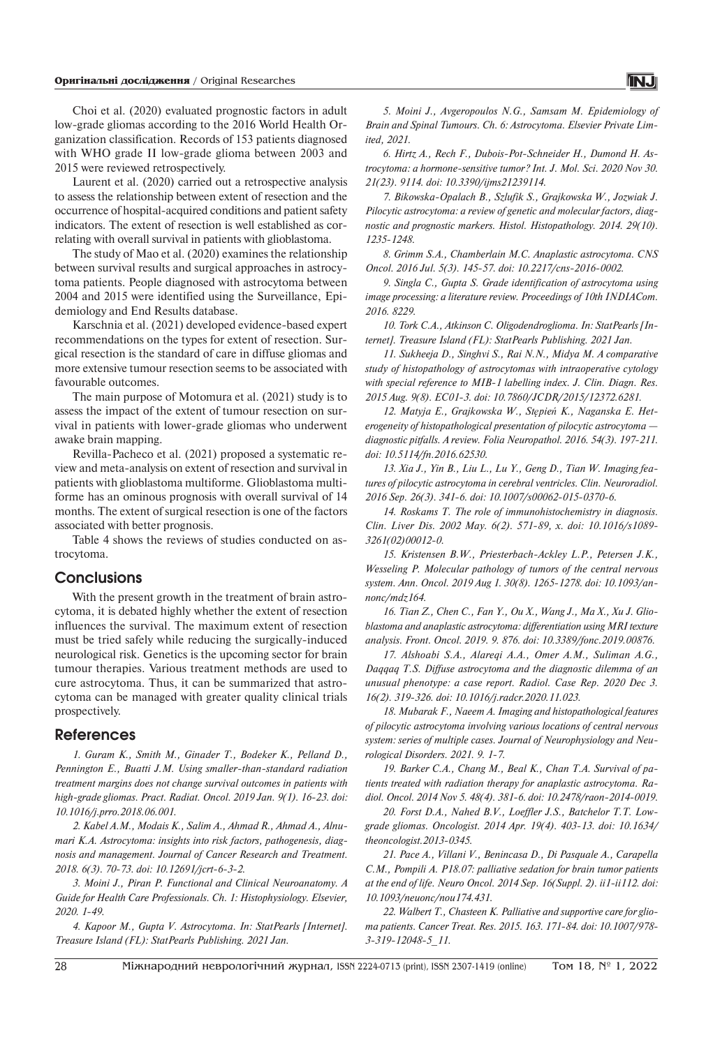Choi et al. (2020) evaluated prognostic factors in adult low-grade gliomas according to the 2016 World Health Organization classification. Records of 153 patients diagnosed with WHO grade II low-grade glioma between 2003 and 2015 were reviewed retrospectively.

Laurent et al. (2020) carried out a retrospective analysis to assess the relationship between extent of resection and the occurrence of hospital-acquired conditions and patient safety indicators. The extent of resection is well established as correlating with overall survival in patients with glioblastoma.

The study of Mao et al. (2020) examines the relationship between survival results and surgical approaches in astrocytoma patients. People diagnosed with astrocytoma between 2004 and 2015 were identified using the Surveillance, Epidemiology and End Results database.

Karschnia et al. (2021) developed evidence-based expert recommendations on the types for extent of resection. Surgical resection is the standard of care in diffuse gliomas and more extensive tumour resection seems to be associated with favourable outcomes.

The main purpose of Motomura et al. (2021) study is to assess the impact of the extent of tumour resection on survival in patients with lower-grade gliomas who underwent awake brain mapping.

Revilla-Pacheco et al. (2021) proposed a systematic review and meta-analysis on extent of resection and survival in patients with glioblastoma multiforme. Glioblastoma multiforme has an ominous prognosis with overall survival of 14 months. The extent of surgical resection is one of the factors associated with better prognosis.

Table 4 shows the reviews of studies conducted on astrocytoma.

# **Conclusions**

With the present growth in the treatment of brain astrocytoma, it is debated highly whether the extent of resection influences the survival. The maximum extent of resection must be tried safely while reducing the surgically-induced neurological risk. Genetics is the upcoming sector for brain tumour therapies. Various treatment methods are used to cure astrocytoma. Thus, it can be summarized that astrocytoma can be managed with greater quality clinical trials prospectively.

### **References**

*1. Guram K., Smith M., Ginader T., Bodeker K., Pelland D., Pennington E., Buatti J.M. Using smaller-than-standard radiation treatment margins does not change survival outcomes in patients with high-grade gliomas. Pract. Radiat. Oncol. 2019 Jan. 9(1). 16-23. doi: 10.1016/j.prro.2018.06.001.*

*2. Kabel A.M., Modais K., Salim A., Ahmad R., Ahmad A., Alnumari K.A. Astrocytoma: insights into risk factors, pathogenesis, diagnosis and management. Journal of Cancer Research and Treatment. 2018. 6(3). 70-73. doi: 10.12691/jcrt-6-3-2.*

*3. Moini J., Piran P. Functional and Clinical Neuroanatomy. A Guide for Health Care Professionals. Ch. 1: Histophysiology. Elsevier, 2020. 1-49.*

*4. Kapoor M., Gupta V. Astrocytoma. In: StatPearls [Internet]. Treasure Island (FL): StatPearls Publishing. 2021 Jan.*

*5. Moini J., Avgeropoulos N.G., Samsam M. Epidemiology of Brain and Spinal Tumours. Ch. 6: Astrocytoma. Elsevier Private Limited, 2021.*

*6. Hirtz A., Rech F., Dubois-Pot-Schneider H., Dumond H. Astrocytoma: a hormone-sensitive tumor? Int. J. Mol. Sci. 2020 Nov 30. 21(23). 9114. doi: 10.3390/ijms21239114.*

*7. Bikowska-Opalach B., Szlufik S., Grajkowska W., Jozwiak J. Pilocytic astrocytoma: a review of genetic and molecular factors, diagnostic and prognostic markers. Histol. Histopathology. 2014. 29(10). 1235-1248.*

*8. Grimm S.A., Chamberlain M.C. Anaplastic astrocytoma. CNS Oncol. 2016 Jul. 5(3). 145-57. doi: 10.2217/cns-2016-0002.*

*9. Singla C., Gupta S. Grade identification of astrocytoma using image processing: a literature review. Proceedings of 10th INDIACom. 2016. 8229.*

*10. Tork C.A., Atkinson C. Oligodendroglioma. In: StatPearls [Internet]. Treasure Island (FL): StatPearls Publishing. 2021 Jan.*

*11. Sukheeja D., Singhvi S., Rai N.N., Midya M. A comparative study of histopathology of astrocytomas with intraoperative cytology with special reference to MIB-1 labelling index. J. Clin. Diagn. Res. 2015 Aug. 9(8). EC01-3. doi: 10.7860/JCDR/2015/12372.6281.*

*12. Matyja E., Grajkowska W., Stępień K., Naganska E. Heterogeneity of histopathological presentation of pilocytic astrocytoma diagnostic pitfalls. A review. Folia Neuropathol. 2016. 54(3). 197-211. doi: 10.5114/fn.2016.62530.*

*13. Xia J., Yin B., Liu L., Lu Y., Geng D., Tian W. Imaging features of pilocytic astrocytoma in cerebral ventricles. Clin. Neuroradiol. 2016 Sep. 26(3). 341-6. doi: 10.1007/s00062-015-0370-6.*

*14. Roskams T. The role of immunohistochemistry in diagnosis. Clin. Liver Dis. 2002 May. 6(2). 571-89, x. doi: 10.1016/s1089- 3261(02)00012-0.*

*15. Kristensen B.W., Priesterbach-Ackley L.P., Petersen J.K., Wesseling P. Molecular pathology of tumors of the central nervous system. Ann. Oncol. 2019 Aug 1. 30(8). 1265-1278. doi: 10.1093/annonc/mdz164.*

*16. Tian Z., Chen C., Fan Y., Ou X., Wang J., Ma X., Xu J. Glioblastoma and anaplastic astrocytoma: differentiation using MRI texture analysis. Front. Oncol. 2019. 9. 876. doi: 10.3389/fonc.2019.00876.*

*17. Alshoabi S.A., Alareqi A.A., Omer A.M., Suliman A.G., Daqqaq T.S. Diffuse astrocytoma and the diagnostic dilemma of an unusual phenotype: a case report. Radiol. Case Rep. 2020 Dec 3. 16(2). 319-326. doi: 10.1016/j.radcr.2020.11.023.*

*18. Mubarak F., Naeem A. Imaging and histopathological features of pilocytic astrocytoma involving various locations of central nervous system: series of multiple cases. Journal of Neurophysiology and Neurological Disorders. 2021. 9. 1-7.*

*19. Barker C.A., Chang M., Beal K., Chan T.A. Survival of patients treated with radiation therapy for anaplastic astrocytoma. Radiol. Oncol. 2014 Nov 5. 48(4). 381-6. doi: 10.2478/raon-2014-0019.*

*20. Forst D.A., Nahed B.V., Loeffler J.S., Batchelor T.T. Lowgrade gliomas. Oncologist. 2014 Apr. 19(4). 403-13. doi: 10.1634/ theoncologist.2013-0345.*

*21. Pace A., Villani V., Benincasa D., Di Pasquale A., Carapella C.M., Pompili A. P18.07: palliative sedation for brain tumor patients at the end of life. Neuro Oncol. 2014 Sep. 16(Suppl. 2). ii1-ii112. doi: 10.1093/neuonc/nou174.431.*

*22. Walbert T., Chasteen K. Palliative and supportive care for glioma patients. Cancer Treat. Res. 2015. 163. 171-84. doi: 10.1007/978- 3-319-12048-5\_11.*